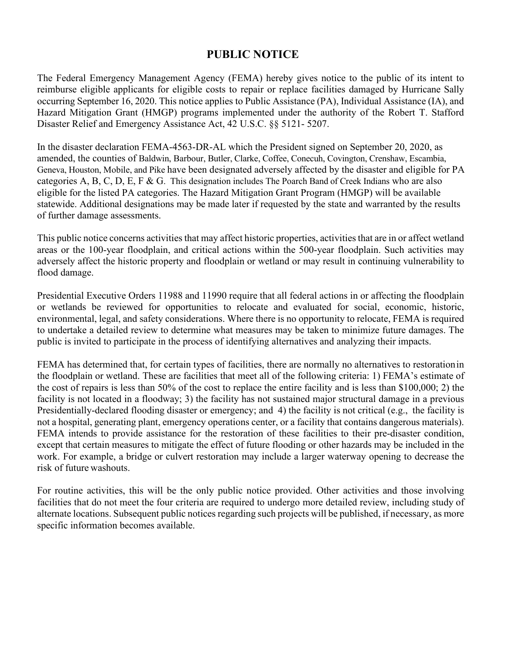## **PUBLIC NOTICE**

The Federal Emergency Management Agency (FEMA) hereby gives notice to the public of its intent to reimburse eligible applicants for eligible costs to repair or replace facilities damaged by Hurricane Sally occurring September 16, 2020. This notice applies to Public Assistance (PA), Individual Assistance (IA), and Hazard Mitigation Grant (HMGP) programs implemented under the authority of the Robert T. Stafford Disaster Relief and Emergency Assistance Act, 42 U.S.C. §§ 5121- 5207.

In the disaster declaration FEMA-4563-DR-AL which the President signed on September 20, 2020, as amended, the counties of Baldwin, Barbour, Butler, Clarke, Coffee, Conecuh, Covington, Crenshaw, Escambia, Geneva, Houston, Mobile, and Pike have been designated adversely affected by the disaster and eligible for PA categories A, B, C, D, E, F & G. This designation includes The Poarch Band of Creek Indians who are also eligible for the listed PA categories. The Hazard Mitigation Grant Program (HMGP) will be available statewide. Additional designations may be made later if requested by the state and warranted by the results of further damage assessments.

This public notice concerns activities that may affect historic properties, activities that are in or affect wetland areas or the 100-year floodplain, and critical actions within the 500-year floodplain. Such activities may adversely affect the historic property and floodplain or wetland or may result in continuing vulnerability to flood damage.

Presidential Executive Orders 11988 and 11990 require that all federal actions in or affecting the floodplain or wetlands be reviewed for opportunities to relocate and evaluated for social, economic, historic, environmental, legal, and safety considerations. Where there is no opportunity to relocate, FEMA is required to undertake a detailed review to determine what measures may be taken to minimize future damages. The public is invited to participate in the process of identifying alternatives and analyzing their impacts.

FEMA has determined that, for certain types of facilities, there are normally no alternatives to restorationin the floodplain or wetland. These are facilities that meet all of the following criteria: 1) FEMA's estimate of the cost of repairs is less than 50% of the cost to replace the entire facility and is less than \$100,000; 2) the facility is not located in a floodway; 3) the facility has not sustained major structural damage in a previous Presidentially-declared flooding disaster or emergency; and 4) the facility is not critical (e.g., the facility is not a hospital, generating plant, emergency operations center, or a facility that contains dangerous materials). FEMA intends to provide assistance for the restoration of these facilities to their pre-disaster condition, except that certain measures to mitigate the effect of future flooding or other hazards may be included in the work. For example, a bridge or culvert restoration may include a larger waterway opening to decrease the risk of future washouts.

For routine activities, this will be the only public notice provided. Other activities and those involving facilities that do not meet the four criteria are required to undergo more detailed review, including study of alternate locations. Subsequent public notices regarding such projects will be published, if necessary, as more specific information becomes available.